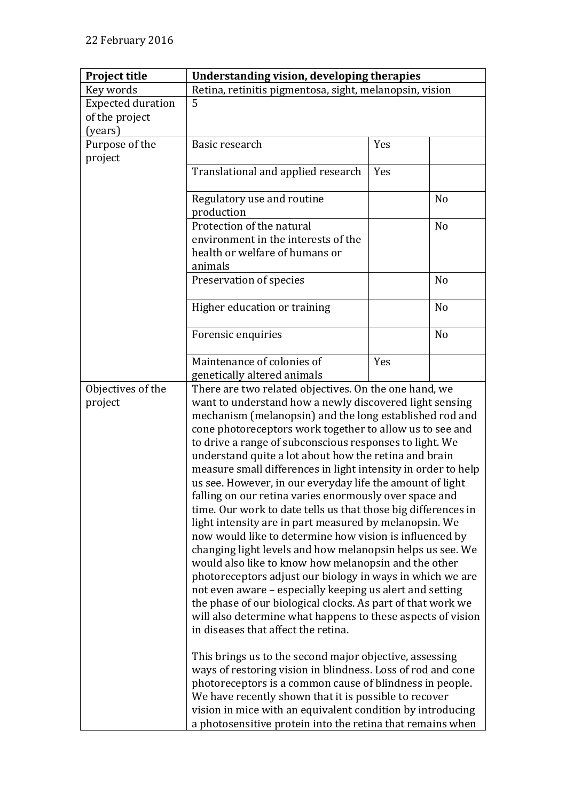| <b>Project title</b>         | <b>Understanding vision, developing therapies</b>                                                                                                                                                                                                                                                                                                                                                                                                                                                                                                                                                                                                                                                                                                                                                                                                                                                                                                                                                                                                                                                                                                            |     |                |
|------------------------------|--------------------------------------------------------------------------------------------------------------------------------------------------------------------------------------------------------------------------------------------------------------------------------------------------------------------------------------------------------------------------------------------------------------------------------------------------------------------------------------------------------------------------------------------------------------------------------------------------------------------------------------------------------------------------------------------------------------------------------------------------------------------------------------------------------------------------------------------------------------------------------------------------------------------------------------------------------------------------------------------------------------------------------------------------------------------------------------------------------------------------------------------------------------|-----|----------------|
| Key words                    | Retina, retinitis pigmentosa, sight, melanopsin, vision                                                                                                                                                                                                                                                                                                                                                                                                                                                                                                                                                                                                                                                                                                                                                                                                                                                                                                                                                                                                                                                                                                      |     |                |
| <b>Expected duration</b>     | 5                                                                                                                                                                                                                                                                                                                                                                                                                                                                                                                                                                                                                                                                                                                                                                                                                                                                                                                                                                                                                                                                                                                                                            |     |                |
| of the project               |                                                                                                                                                                                                                                                                                                                                                                                                                                                                                                                                                                                                                                                                                                                                                                                                                                                                                                                                                                                                                                                                                                                                                              |     |                |
| (years)                      |                                                                                                                                                                                                                                                                                                                                                                                                                                                                                                                                                                                                                                                                                                                                                                                                                                                                                                                                                                                                                                                                                                                                                              |     |                |
| Purpose of the               | Basic research                                                                                                                                                                                                                                                                                                                                                                                                                                                                                                                                                                                                                                                                                                                                                                                                                                                                                                                                                                                                                                                                                                                                               | Yes |                |
| project                      |                                                                                                                                                                                                                                                                                                                                                                                                                                                                                                                                                                                                                                                                                                                                                                                                                                                                                                                                                                                                                                                                                                                                                              |     |                |
|                              | Translational and applied research                                                                                                                                                                                                                                                                                                                                                                                                                                                                                                                                                                                                                                                                                                                                                                                                                                                                                                                                                                                                                                                                                                                           | Yes |                |
|                              | Regulatory use and routine<br>production                                                                                                                                                                                                                                                                                                                                                                                                                                                                                                                                                                                                                                                                                                                                                                                                                                                                                                                                                                                                                                                                                                                     |     | N <sub>o</sub> |
|                              | Protection of the natural                                                                                                                                                                                                                                                                                                                                                                                                                                                                                                                                                                                                                                                                                                                                                                                                                                                                                                                                                                                                                                                                                                                                    |     | N <sub>o</sub> |
|                              | environment in the interests of the                                                                                                                                                                                                                                                                                                                                                                                                                                                                                                                                                                                                                                                                                                                                                                                                                                                                                                                                                                                                                                                                                                                          |     |                |
|                              | health or welfare of humans or                                                                                                                                                                                                                                                                                                                                                                                                                                                                                                                                                                                                                                                                                                                                                                                                                                                                                                                                                                                                                                                                                                                               |     |                |
|                              | animals                                                                                                                                                                                                                                                                                                                                                                                                                                                                                                                                                                                                                                                                                                                                                                                                                                                                                                                                                                                                                                                                                                                                                      |     |                |
|                              | Preservation of species                                                                                                                                                                                                                                                                                                                                                                                                                                                                                                                                                                                                                                                                                                                                                                                                                                                                                                                                                                                                                                                                                                                                      |     | N <sub>o</sub> |
|                              |                                                                                                                                                                                                                                                                                                                                                                                                                                                                                                                                                                                                                                                                                                                                                                                                                                                                                                                                                                                                                                                                                                                                                              |     |                |
|                              | Higher education or training                                                                                                                                                                                                                                                                                                                                                                                                                                                                                                                                                                                                                                                                                                                                                                                                                                                                                                                                                                                                                                                                                                                                 |     | N <sub>o</sub> |
|                              | Forensic enquiries                                                                                                                                                                                                                                                                                                                                                                                                                                                                                                                                                                                                                                                                                                                                                                                                                                                                                                                                                                                                                                                                                                                                           |     | N <sub>o</sub> |
|                              | Maintenance of colonies of                                                                                                                                                                                                                                                                                                                                                                                                                                                                                                                                                                                                                                                                                                                                                                                                                                                                                                                                                                                                                                                                                                                                   | Yes |                |
|                              | genetically altered animals                                                                                                                                                                                                                                                                                                                                                                                                                                                                                                                                                                                                                                                                                                                                                                                                                                                                                                                                                                                                                                                                                                                                  |     |                |
| Objectives of the<br>project | There are two related objectives. On the one hand, we<br>want to understand how a newly discovered light sensing<br>mechanism (melanopsin) and the long established rod and<br>cone photoreceptors work together to allow us to see and<br>to drive a range of subconscious responses to light. We<br>understand quite a lot about how the retina and brain<br>measure small differences in light intensity in order to help<br>us see. However, in our everyday life the amount of light<br>falling on our retina varies enormously over space and<br>time. Our work to date tells us that those big differences in<br>light intensity are in part measured by melanopsin. We<br>now would like to determine how vision is influenced by<br>changing light levels and how melanopsin helps us see. We<br>would also like to know how melanopsin and the other<br>photoreceptors adjust our biology in ways in which we are<br>not even aware - especially keeping us alert and setting<br>the phase of our biological clocks. As part of that work we<br>will also determine what happens to these aspects of vision<br>in diseases that affect the retina. |     |                |
|                              | This brings us to the second major objective, assessing<br>ways of restoring vision in blindness. Loss of rod and cone<br>photoreceptors is a common cause of blindness in people.<br>We have recently shown that it is possible to recover<br>vision in mice with an equivalent condition by introducing<br>a photosensitive protein into the retina that remains when                                                                                                                                                                                                                                                                                                                                                                                                                                                                                                                                                                                                                                                                                                                                                                                      |     |                |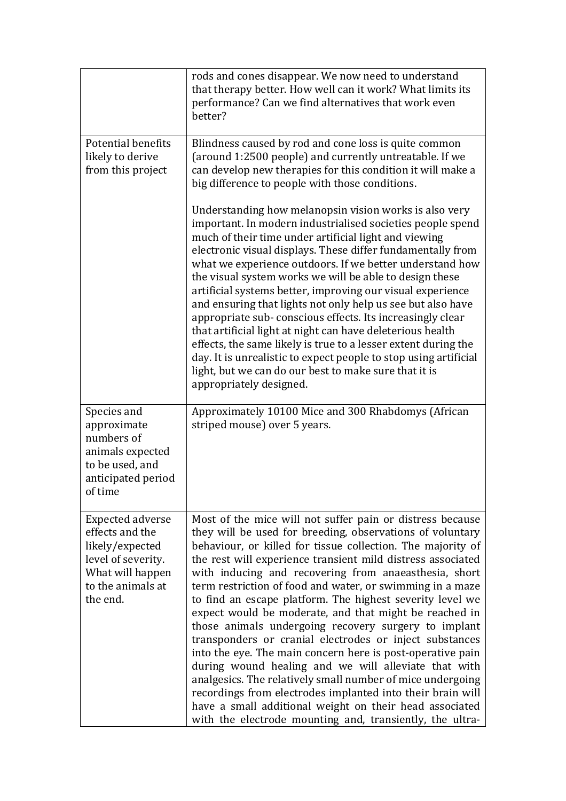|                                                                                                                                          | rods and cones disappear. We now need to understand<br>that therapy better. How well can it work? What limits its<br>performance? Can we find alternatives that work even<br>better?                                                                                                                                                                                                                                                                                                                                                                                                                                                                                                                                                                                                                                                                                                                                                                                                          |
|------------------------------------------------------------------------------------------------------------------------------------------|-----------------------------------------------------------------------------------------------------------------------------------------------------------------------------------------------------------------------------------------------------------------------------------------------------------------------------------------------------------------------------------------------------------------------------------------------------------------------------------------------------------------------------------------------------------------------------------------------------------------------------------------------------------------------------------------------------------------------------------------------------------------------------------------------------------------------------------------------------------------------------------------------------------------------------------------------------------------------------------------------|
| Potential benefits<br>likely to derive<br>from this project                                                                              | Blindness caused by rod and cone loss is quite common<br>(around 1:2500 people) and currently untreatable. If we<br>can develop new therapies for this condition it will make a<br>big difference to people with those conditions.                                                                                                                                                                                                                                                                                                                                                                                                                                                                                                                                                                                                                                                                                                                                                            |
|                                                                                                                                          | Understanding how melanopsin vision works is also very<br>important. In modern industrialised societies people spend<br>much of their time under artificial light and viewing<br>electronic visual displays. These differ fundamentally from<br>what we experience outdoors. If we better understand how<br>the visual system works we will be able to design these<br>artificial systems better, improving our visual experience<br>and ensuring that lights not only help us see but also have<br>appropriate sub-conscious effects. Its increasingly clear<br>that artificial light at night can have deleterious health<br>effects, the same likely is true to a lesser extent during the<br>day. It is unrealistic to expect people to stop using artificial<br>light, but we can do our best to make sure that it is<br>appropriately designed.                                                                                                                                         |
| Species and<br>approximate<br>numbers of<br>animals expected<br>to be used, and<br>anticipated period<br>of time                         | Approximately 10100 Mice and 300 Rhabdomys (African<br>striped mouse) over 5 years.                                                                                                                                                                                                                                                                                                                                                                                                                                                                                                                                                                                                                                                                                                                                                                                                                                                                                                           |
| <b>Expected adverse</b><br>effects and the<br>likely/expected<br>level of severity.<br>What will happen<br>to the animals at<br>the end. | Most of the mice will not suffer pain or distress because<br>they will be used for breeding, observations of voluntary<br>behaviour, or killed for tissue collection. The majority of<br>the rest will experience transient mild distress associated<br>with inducing and recovering from anaeasthesia, short<br>term restriction of food and water, or swimming in a maze<br>to find an escape platform. The highest severity level we<br>expect would be moderate, and that might be reached in<br>those animals undergoing recovery surgery to implant<br>transponders or cranial electrodes or inject substances<br>into the eye. The main concern here is post-operative pain<br>during wound healing and we will alleviate that with<br>analgesics. The relatively small number of mice undergoing<br>recordings from electrodes implanted into their brain will<br>have a small additional weight on their head associated<br>with the electrode mounting and, transiently, the ultra- |